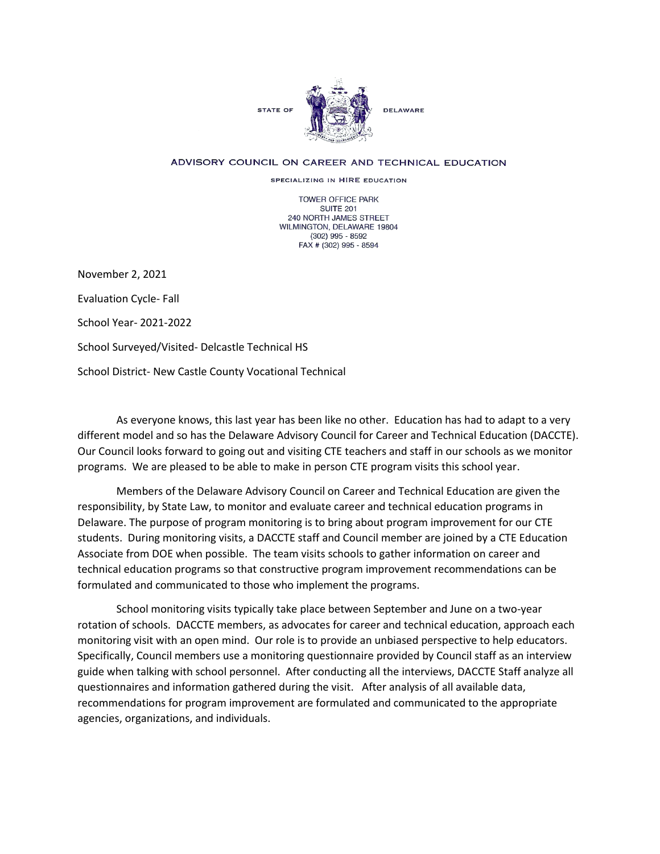

## ADVISORY COUNCIL ON CAREER AND TECHNICAL EDUCATION

SPECIALIZING IN HIRE EDUCATION

TOWER OFFICE PARK SUITE 201 240 NORTH JAMES STREET WILMINGTON, DELAWARE 19804 (302) 995 - 8592 FAX # (302) 995 - 8594

November 2, 2021

Evaluation Cycle- Fall

School Year- 2021-2022

School Surveyed/Visited- Delcastle Technical HS

School District- New Castle County Vocational Technical

As everyone knows, this last year has been like no other. Education has had to adapt to a very different model and so has the Delaware Advisory Council for Career and Technical Education (DACCTE). Our Council looks forward to going out and visiting CTE teachers and staff in our schools as we monitor programs. We are pleased to be able to make in person CTE program visits this school year.

Members of the Delaware Advisory Council on Career and Technical Education are given the responsibility, by State Law, to monitor and evaluate career and technical education programs in Delaware. The purpose of program monitoring is to bring about program improvement for our CTE students. During monitoring visits, a DACCTE staff and Council member are joined by a CTE Education Associate from DOE when possible. The team visits schools to gather information on career and technical education programs so that constructive program improvement recommendations can be formulated and communicated to those who implement the programs.

School monitoring visits typically take place between September and June on a two-year rotation of schools. DACCTE members, as advocates for career and technical education, approach each monitoring visit with an open mind. Our role is to provide an unbiased perspective to help educators. Specifically, Council members use a monitoring questionnaire provided by Council staff as an interview guide when talking with school personnel. After conducting all the interviews, DACCTE Staff analyze all questionnaires and information gathered during the visit. After analysis of all available data, recommendations for program improvement are formulated and communicated to the appropriate agencies, organizations, and individuals.